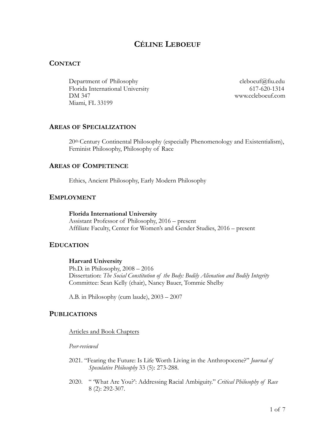# **CÉLINE LEBOEUF**

# **CONTACT**

Department of Philosophy cleboeuf@fiu.edu Florida International University 617-620-1314 DM 347 www.ccleboeuf.com Miami, FL 33199

## **AREAS OF SPECIALIZATION**

20th Century Continental Philosophy (especially Phenomenology and Existentialism), Feminist Philosophy, Philosophy of Race

# **AREAS OF COMPETENCE**

Ethics, Ancient Philosophy, Early Modern Philosophy

# **EMPLOYMENT**

### **Florida International University**

 Assistant Professor of Philosophy, 2016 – present Affiliate Faculty, Center for Women's and Gender Studies, 2016 – present

# **EDUCATION**

### **Harvard University**

Ph.D. in Philosophy, 2008 – 2016 Dissertation: *The Social Constitution of the Body: Bodily Alienation and Bodily Integrity* Committee: Sean Kelly (chair), Nancy Bauer, Tommie Shelby

A.B. in Philosophy (cum laude), 2003 – 2007

# **PUBLICATIONS**

### Articles and Book Chapters

*Peer-reviewed*

- 2021. "Fearing the Future: Is Life Worth Living in the Anthropocene?" *Journal of Speculative Philosophy* 33 (5): 273-288.
- 2020. " 'What Are You?': Addressing Racial Ambiguity." *Critical Philosophy of Race* 8 (2): 292-307.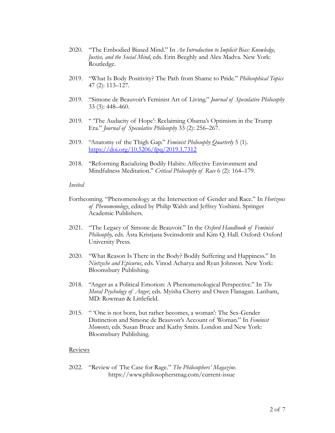- 2020. "The Embodied Biased Mind." In *An Introduction to Implicit Bias: Knowledge, Justice, and the Social Mind*, eds. Erin Beeghly and Alex Madva. New York: Routledge.
- 2019. "What Is Body Positivity? The Path from Shame to Pride." *Philosophical Topics* 47 (2): 113–127.
- 2019. "Simone de Beauvoir's Feminist Art of Living." *Journal of Speculative Philosophy* 33 (3): 448–460.
- 2019. " 'The Audacity of Hope': Reclaiming Obama's Optimism in the Trump Era." *Journal of Speculative Philosophy* 33 (2): 256–267.
- 2019. "Anatomy of the Thigh Gap." *Feminist Philosophy Quarterly* 5 (1). <https://doi.org/10.5206/fpq/2019.1.7312>
- 2018. "Reforming Racializing Bodily Habits: Affective Environment and Mindfulness Meditation." *Critical Philosophy of Race* 6 (2): 164–179.

#### *Invited*

- Forthcoming. "Phenomenology at the Intersection of Gender and Race." In *Horizons of Phenomenology*, edited by Philip Walsh and Jeffrey Yoshimi. Springer Academic Publishers.
- 2021. "The Legacy of Simone de Beauvoir." In the *Oxford Handbook of Feminist Philosophy,* eds. Ásta Kristjana Sveinsdottir and Kim Q. Hall. Oxford: Oxford University Press.
- 2020. "What Reason Is There in the Body? Bodily Suffering and Happiness." In *Nietzsche and Epicurus*, eds. Vinod Acharya and Ryan Johnson. New York: Bloomsbury Publishing.
- 2018. "Anger as a Political Emotion: A Phenomenological Perspective." In *The Moral Psychology of Anger*, eds. Myisha Cherry and Owen Flanagan. Lanham, MD: Rowman & Littlefield.
- 2015. " 'One is not born, but rather becomes, a woman': The Sex-Gender Distinction and Simone de Beauvoir's Account of Woman." In *Feminist Moments*, eds. Susan Bruce and Kathy Smits. London and New York: Bloomsbury Publishing.

#### Reviews

2022. "Review of The Case for Rage*.*" *The Philosophers' Magazine.* https://www.philosophersmag.com/current-issue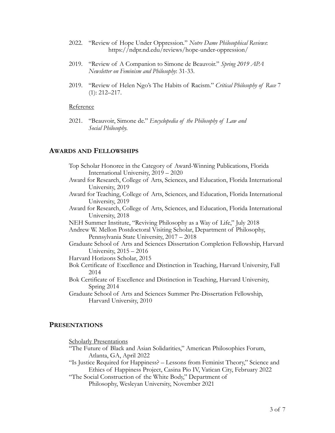- 2022. "Review of Hope Under Oppression*.*" *Notre Dame Philosophical Reviews*: https://ndpr.nd.edu/reviews/hope-under-oppression/
- 2019. "Review of A Companion to Simone de Beauvoir." *Spring 2019 APA Newsletter on Feminism and Philosophy*: 31-33.
- 2019. "Review of Helen Ngo's The Habits of Racism." *Critical Philosophy of Race* 7  $(1): 212 - 217.$

#### Reference

 2021. "Beauvoir, Simone de." *Encyclopedia of the Philosophy of Law and Social Philosophy.*

### **AWARDS AND FELLOWSHIPS**

 Top Scholar Honoree in the Category of Award-Winning Publications, Florida International University, 2019 – 2020 Award for Research, College of Arts, Sciences, and Education, Florida International University, 2019 Award for Teaching, College of Arts, Sciences, and Education, Florida International University, 2019 Award for Research, College of Arts, Sciences, and Education, Florida International University, 2018 NEH Summer Institute, "Reviving Philosophy as a Way of Life," July 2018 Andrew W. Mellon Postdoctoral Visiting Scholar, Department of Philosophy, Pennsylvania State University, 2017 – 2018 Graduate School of Arts and Sciences Dissertation Completion Fellowship, Harvard University, 2015 – 2016 Harvard Horizons Scholar, 2015 Bok Certificate of Excellence and Distinction in Teaching, Harvard University, Fall 2014 Bok Certificate of Excellence and Distinction in Teaching, Harvard University, Spring 2014 Graduate School of Arts and Sciences Summer Pre-Dissertation Fellowship, Harvard University, 2010

### **PRESENTATIONS**

Scholarly Presentations

- "The Future of Black and Asian Solidarities," American Philosophies Forum, Atlanta, GA, April 2022
- "Is Justice Required for Happiness? Lessons from Feminist Theory," Science and Ethics of Happiness Project, Casina Pio IV, Vatican City, February 2022

 "The Social Construction of the White Body," Department of Philosophy, Wesleyan University, November 2021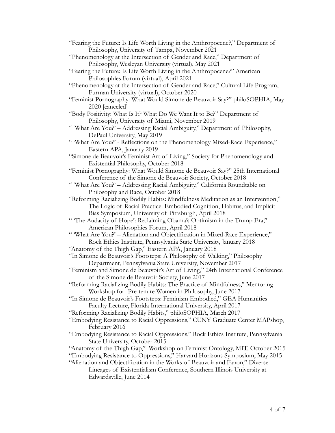- "Fearing the Future: Is Life Worth Living in the Anthropocene?," Department of Philosophy, University of Tampa, November 2021
- "Phenomenology at the Intersection of Gender and Race," Department of Philosophy, Wesleyan University (virtual), May 2021
- "Fearing the Future: Is Life Worth Living in the Anthropocene?" American Philosophies Forum (virtual), April 2021
- "Phenomenology at the Intersection of Gender and Race," Cultural Life Program, Furman University (virtual), October 2020
- "Feminist Pornography: What Would Simone de Beauvoir Say?" philoSOPHIA, May 2020 [canceled]
- "Body Positivity: What Is It? What Do We Want It to Be?" Department of Philosophy, University of Miami, November 2019
- " 'What Are You?' Addressing Racial Ambiguity," Department of Philosophy, DePaul University, May 2019
- " 'What Are You?' Reflections on the Phenomenology Mixed-Race Experience," Eastern APA, January 2019
- "Simone de Beauvoir's Feminist Art of Living," Society for Phenomenology and Existential Philosophy, October 2018
- "Feminist Pornography: What Would Simone de Beauvoir Say?" 25th International Conference of the Simone de Beauvoir Society, October 2018
- " 'What Are You?' Addressing Racial Ambiguity," California Roundtable on Philosophy and Race, October 2018
- "Reforming Racializing Bodily Habits: Mindfulness Meditation as an Intervention," The Logic of Racial Practice: Embodied Cognition, Habitus, and Implicit Bias Symposium, University of Pittsburgh, April 2018
- " The Audacity of Hope': Reclaiming Obama's Optimism in the Trump Era," American Philosophies Forum, April 2018
- " 'What Are You?' Alienation and Objectification in Mixed-Race Experience," Rock Ethics Institute, Pennsylvania State University, January 2018
- "Anatomy of the Thigh Gap," Eastern APA, January 2018
- "In Simone de Beauvoir's Footsteps: A Philosophy of Walking," Philosophy Department, Pennsylvania State University, November 2017
- "Feminism and Simone de Beauvoir's Art of Living," 24th International Conference of the Simone de Beauvoir Society, June 2017
- "Reforming Racializing Bodily Habits: The Practice of Mindfulness," Mentoring Workshop for Pre-tenure Women in Philosophy, June 2017
- "In Simone de Beauvoir's Footsteps: Feminism Embodied," GEA Humanities Faculty Lecture, Florida International University, April 2017
- "Reforming Racializing Bodily Habits," philoSOPHIA, March 2017
- "Embodying Resistance to Racial Oppressions," CUNY Graduate Center MAPshop, February 2016
- "Embodying Resistance to Racial Oppressions," Rock Ethics Institute, Pennsylvania State University, October 2015

"Anatomy of the Thigh Gap," Workshop on Feminist Ontology, MIT, October 2015 "Embodying Resistance to Oppressions," Harvard Horizons Symposium, May 2015

"Alienation and Objectification in the Works of Beauvoir and Fanon," Diverse Lineages of Existentialism Conference, Southern Illinois University at Edwardsville, June 2014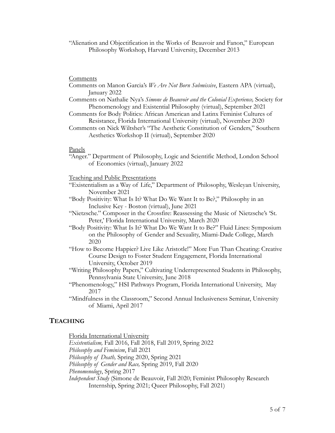"Alienation and Objectification in the Works of Beauvoir and Fanon," European Philosophy Workshop, Harvard University, December 2013

#### **Comments**

- Comments on Manon Garcia's *We Are Not Born Submissive*, Eastern APA (virtual), January 2022
- Comments on Nathalie Nya's *Simone de Beauvoir and the Colonial Experience,* Society for Phenomenology and Existential Philosophy (virtual), September 2021

Comments for Body Politics: African American and Latinx Feminist Cultures of Resistance, Florida International University (virtual), November 2020

Comments on Nick Wiltsher's "The Aesthetic Constitution of Genders," Southern Aesthetics Workshop II (virtual), September 2020

#### Panels

"Anger." Department of Philosophy, Logic and Scientific Method, London School of Economics (virtual), January 2022

Teaching and Public Presentations

- "Existentialism as a Way of Life," Department of Philosophy, Wesleyan University, November 2021
- "Body Positivity: What Is It? What Do We Want It to Be?," Philosophy in an Inclusive Key - Boston (virtual), June 2021
- "Nietzsche." Composer in the Crossfire: Reassessing the Music of Nietzsche's 'St. Peter,' Florida International University, March 2020
- "Body Positivity: What Is It? What Do We Want It to Be?" Fluid Lines: Symposium on the Philosophy of Gender and Sexuality, Miami-Dade College, March 2020
- "How to Become Happier? Live Like Aristotle!" More Fun Than Cheating: Creative Course Design to Foster Student Engagement, Florida International University, October 2019
- "Writing Philosophy Papers," Cultivating Underrepresented Students in Philosophy, Pennsylvania State University, June 2018
- "Phenomenology," HSI Pathways Program, Florida International University, May 2017

 "Mindfulness in the Classroom," Second Annual Inclusiveness Seminar, University of Miami, April 2017

### **TEACHING**

Florida International University

 *Existentialism,* Fall 2016, Fall 2018, Fall 2019, Spring 2022

*Philosophy and Feminism*, Fall 2021

*Philosophy of Death,* Spring 2020, Spring 2021

*Philosophy of Gender and Race,* Spring 2019, Fall 2020

*Phenomenology*, Spring 2017

*Independent Study* (Simone de Beauvoir, Fall 2020; Feminist Philosophy Research Internship, Spring 2021; Queer Philosophy, Fall 2021)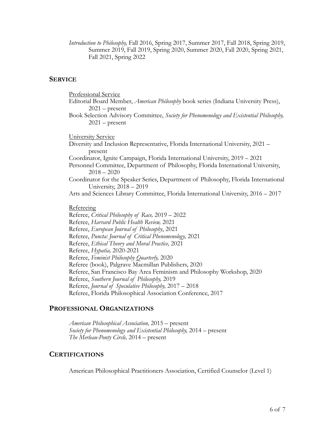*Introduction to Philosophy,* Fall 2016, Spring 2017, Summer 2017, Fall 2018, Spring 2019, Summer 2019, Fall 2019, Spring 2020, Summer 2020, Fall 2020, Spring 2021, Fall 2021, Spring 2022

## **SERVICE**

Professional Service Editorial Board Member, *American Philosophy* book series (Indiana University Press),  $2021$  – present Book Selection Advisory Committee, *Society for Phenomenology and Existential Philosophy,*   $2021$  – present University Service Diversity and Inclusion Representative, Florida International University, 2021 – present Coordinator, Ignite Campaign, Florida International University, 2019 – 2021 Personnel Committee, Department of Philosophy, Florida International University,  $2018 - 2020$ Coordinator for the Speaker Series, Department of Philosophy, Florida International University, 2018 – 2019 Arts and Sciences Library Committee, Florida International University, 2016 – 2017

#### Refereeing

Referee, *Critical Philosophy of Race,* 2019 – 2022 Referee, *Harvard Public Health Review,* 2021 Referee, *European Journal of Philosophy*, 2021 Referee, *Puncta: Journal of Critical Phenomenology,* 2021 Referee, *Ethical Theory and Moral Practice,* 2021 Referee, *Hypatia,* 2020-2021 Referee, *Feminist Philosophy Quarterly,* 2020 Referee (book), Palgrave Macmillan Publishers, 2020 Referee, San Francisco Bay Area Feminism and Philosophy Workshop, 2020 Referee, *Southern Journal of Philosophy,* 2019 Referee, *Journal of Speculative Philosophy,* 2017 – 2018 Referee, Florida Philosophical Association Conference, 2017

## **PROFESSIONAL ORGANIZATIONS**

 *American Philosophical Association,* 2015 – present  *Society for Phenomenology and Existential Philosophy,* 2014 – present  *The Merleau-Ponty Circle,* 2014 – present

## **CERTIFICATIONS**

American Philosophical Practitioners Association, Certified Counselor (Level 1)